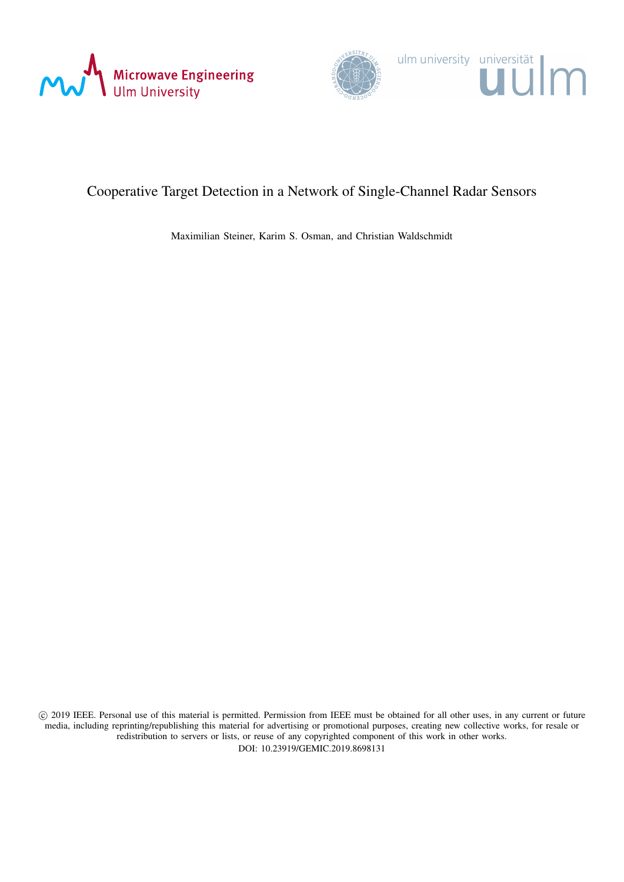



# Cooperative Target Detection in a Network of Single-Channel Radar Sensors

Maximilian Steiner, Karim S. Osman, and Christian Waldschmidt

 c 2019 IEEE. Personal use of this material is permitted. Permission from IEEE must be obtained for all other uses, in any current or future media, including reprinting/republishing this material for advertising or promotional purposes, creating new collective works, for resale or redistribution to servers or lists, or reuse of any copyrighted component of this work in other works. DOI: 10.23919/GEMIC.2019.8698131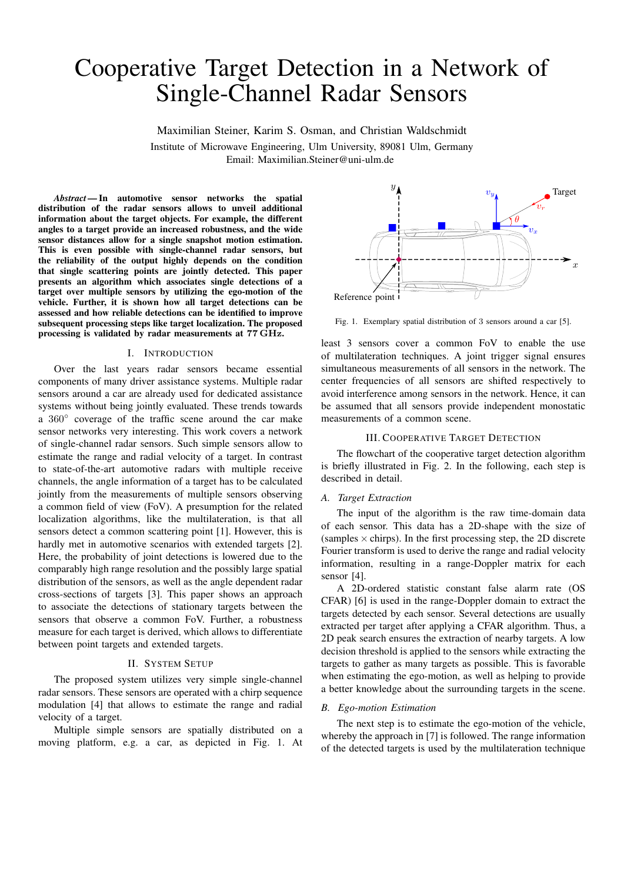# Cooperative Target Detection in a Network of Single-Channel Radar Sensors

Maximilian Steiner, Karim S. Osman, and Christian Waldschmidt Institute of Microwave Engineering, Ulm University, 89081 Ulm, Germany Email: Maximilian.Steiner@uni-ulm.de

*Abstract —*In automotive sensor networks the spatial distribution of the radar sensors allows to unveil additional information about the target objects. For example, the different angles to a target provide an increased robustness, and the wide sensor distances allow for a single snapshot motion estimation. This is even possible with single-channel radar sensors, but the reliability of the output highly depends on the condition that single scattering points are jointly detected. This paper presents an algorithm which associates single detections of a target over multiple sensors by utilizing the ego-motion of the vehicle. Further, it is shown how all target detections can be assessed and how reliable detections can be identified to improve subsequent processing steps like target localization. The proposed processing is validated by radar measurements at 77 GHz.

#### I. INTRODUCTION

Over the last years radar sensors became essential components of many driver assistance systems. Multiple radar sensors around a car are already used for dedicated assistance systems without being jointly evaluated. These trends towards a 360◦ coverage of the traffic scene around the car make sensor networks very interesting. This work covers a network of single-channel radar sensors. Such simple sensors allow to estimate the range and radial velocity of a target. In contrast to state-of-the-art automotive radars with multiple receive channels, the angle information of a target has to be calculated jointly from the measurements of multiple sensors observing a common field of view (FoV). A presumption for the related localization algorithms, like the multilateration, is that all sensors detect a common scattering point [1]. However, this is hardly met in automotive scenarios with extended targets [2]. Here, the probability of joint detections is lowered due to the comparably high range resolution and the possibly large spatial distribution of the sensors, as well as the angle dependent radar cross-sections of targets [3]. This paper shows an approach to associate the detections of stationary targets between the sensors that observe a common FoV. Further, a robustness measure for each target is derived, which allows to differentiate between point targets and extended targets.

#### II. SYSTEM SETUP

The proposed system utilizes very simple single-channel radar sensors. These sensors are operated with a chirp sequence modulation [4] that allows to estimate the range and radial velocity of a target.

Multiple simple sensors are spatially distributed on a moving platform, e.g. a car, as depicted in Fig. 1. At



Fig. 1. Exemplary spatial distribution of 3 sensors around a car [5].

least 3 sensors cover a common FoV to enable the use of multilateration techniques. A joint trigger signal ensures simultaneous measurements of all sensors in the network. The center frequencies of all sensors are shifted respectively to avoid interference among sensors in the network. Hence, it can be assumed that all sensors provide independent monostatic measurements of a common scene.

#### III. COOPERATIVE TARGET DETECTION

The flowchart of the cooperative target detection algorithm is briefly illustrated in Fig. 2. In the following, each step is described in detail.

## *A. Target Extraction*

The input of the algorithm is the raw time-domain data of each sensor. This data has a 2D-shape with the size of (samples  $\times$  chirps). In the first processing step, the 2D discrete Fourier transform is used to derive the range and radial velocity information, resulting in a range-Doppler matrix for each sensor [4].

A 2D-ordered statistic constant false alarm rate (OS CFAR) [6] is used in the range-Doppler domain to extract the targets detected by each sensor. Several detections are usually extracted per target after applying a CFAR algorithm. Thus, a 2D peak search ensures the extraction of nearby targets. A low decision threshold is applied to the sensors while extracting the targets to gather as many targets as possible. This is favorable when estimating the ego-motion, as well as helping to provide a better knowledge about the surrounding targets in the scene.

# *B. Ego-motion Estimation*

The next step is to estimate the ego-motion of the vehicle, whereby the approach in [7] is followed. The range information of the detected targets is used by the multilateration technique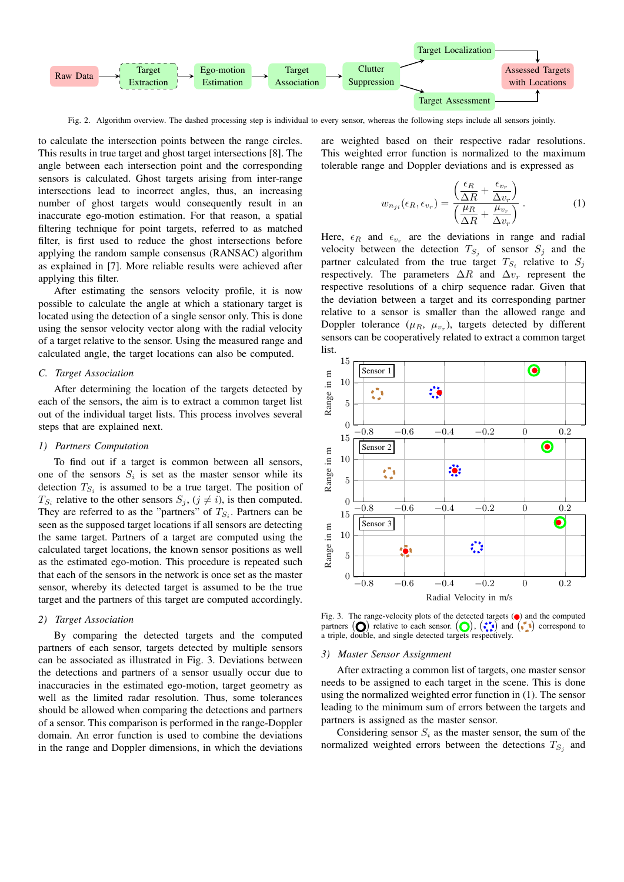

Fig. 2. Algorithm overview. The dashed processing step is individual to every sensor, whereas the following steps include all sensors jointly.

to calculate the intersection points between the range circles. This results in true target and ghost target intersections [8]. The angle between each intersection point and the corresponding sensors is calculated. Ghost targets arising from inter-range intersections lead to incorrect angles, thus, an increasing number of ghost targets would consequently result in an inaccurate ego-motion estimation. For that reason, a spatial filtering technique for point targets, referred to as matched filter, is first used to reduce the ghost intersections before applying the random sample consensus (RANSAC) algorithm as explained in [7]. More reliable results were achieved after applying this filter.

After estimating the sensors velocity profile, it is now possible to calculate the angle at which a stationary target is located using the detection of a single sensor only. This is done using the sensor velocity vector along with the radial velocity of a target relative to the sensor. Using the measured range and calculated angle, the target locations can also be computed.

# *C. Target Association*

After determining the location of the targets detected by each of the sensors, the aim is to extract a common target list out of the individual target lists. This process involves several steps that are explained next.

#### *1) Partners Computation*

To find out if a target is common between all sensors, one of the sensors  $S_i$  is set as the master sensor while its detection  $T_{S_i}$  is assumed to be a true target. The position of  $T_{S_i}$  relative to the other sensors  $S_j$ ,  $(j \neq i)$ , is then computed. They are referred to as the "partners" of  $T_{S_i}$ . Partners can be seen as the supposed target locations if all sensors are detecting the same target. Partners of a target are computed using the calculated target locations, the known sensor positions as well as the estimated ego-motion. This procedure is repeated such that each of the sensors in the network is once set as the master sensor, whereby its detected target is assumed to be the true target and the partners of this target are computed accordingly.

#### *2) Target Association*

By comparing the detected targets and the computed partners of each sensor, targets detected by multiple sensors can be associated as illustrated in Fig. 3. Deviations between the detections and partners of a sensor usually occur due to inaccuracies in the estimated ego-motion, target geometry as well as the limited radar resolution. Thus, some tolerances should be allowed when comparing the detections and partners of a sensor. This comparison is performed in the range-Doppler domain. An error function is used to combine the deviations in the range and Doppler dimensions, in which the deviations

are weighted based on their respective radar resolutions. This weighted error function is normalized to the maximum tolerable range and Doppler deviations and is expressed as

$$
w_{n_{ji}}(\epsilon_R, \epsilon_{v_r}) = \frac{\left(\frac{\epsilon_R}{\Delta R} + \frac{\epsilon_{v_r}}{\Delta v_r}\right)}{\left(\frac{\mu_R}{\Delta R} + \frac{\mu_{v_r}}{\Delta v_r}\right)}.
$$
 (1)

Here,  $\epsilon_R$  and  $\epsilon_{v_r}$  are the deviations in range and radial velocity between the detection  $T_{S_j}$  of sensor  $S_j$  and the partner calculated from the true target  $T_{S_i}$  relative to  $S_j$ respectively. The parameters  $\Delta R$  and  $\Delta v_r$  represent the respective resolutions of a chirp sequence radar. Given that the deviation between a target and its corresponding partner relative to a sensor is smaller than the allowed range and Doppler tolerance  $(\mu_R, \mu_{v_r})$ , targets detected by different sensors can be cooperatively related to extract a common target list.



Fig. 3. The range-velocity plots of the detected targets  $\left( \bullet \right)$  and the computed partners  $(O)$  relative to each sensor.  $(O)$ ,  $(\cdot)$  and  $(\cdot)$  correspond to a triple, double, and single detected targets respectively.

#### *3) Master Sensor Assignment*

After extracting a common list of targets, one master sensor needs to be assigned to each target in the scene. This is done using the normalized weighted error function in (1). The sensor leading to the minimum sum of errors between the targets and partners is assigned as the master sensor.

Considering sensor  $S_i$  as the master sensor, the sum of the normalized weighted errors between the detections  $T_{S_j}$  and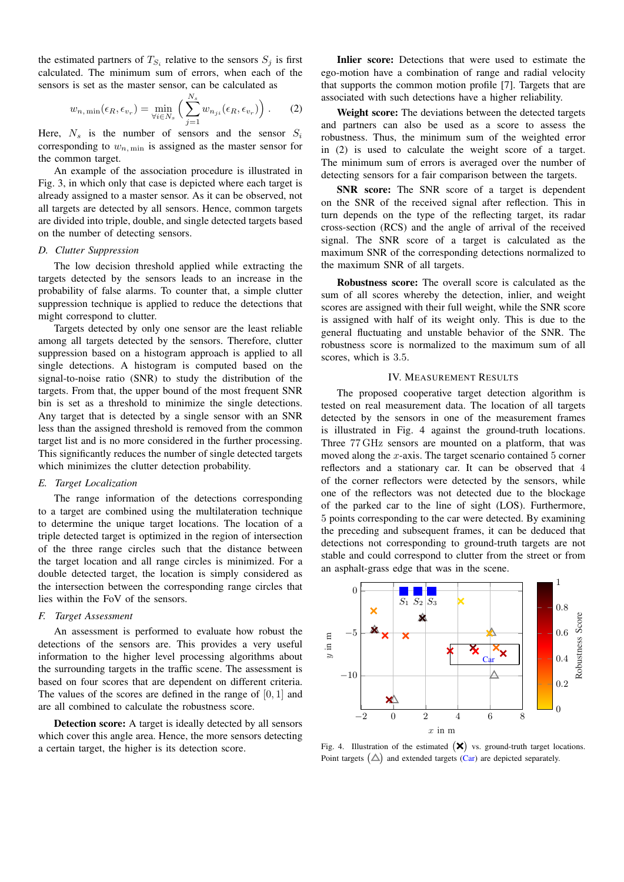the estimated partners of  $T_{S_i}$  relative to the sensors  $S_j$  is first calculated. The minimum sum of errors, when each of the sensors is set as the master sensor, can be calculated as

$$
w_{n,\min}(\epsilon_R, \epsilon_{v_r}) = \min_{\forall i \in N_s} \left( \sum_{j=1}^{N_s} w_{n_{ji}}(\epsilon_R, \epsilon_{v_r}) \right). \tag{2}
$$

Here,  $N_s$  is the number of sensors and the sensor  $S_i$ corresponding to  $w_{n,\text{min}}$  is assigned as the master sensor for the common target.

An example of the association procedure is illustrated in Fig. 3, in which only that case is depicted where each target is already assigned to a master sensor. As it can be observed, not all targets are detected by all sensors. Hence, common targets are divided into triple, double, and single detected targets based on the number of detecting sensors.

# *D. Clutter Suppression*

The low decision threshold applied while extracting the targets detected by the sensors leads to an increase in the probability of false alarms. To counter that, a simple clutter suppression technique is applied to reduce the detections that might correspond to clutter.

Targets detected by only one sensor are the least reliable among all targets detected by the sensors. Therefore, clutter suppression based on a histogram approach is applied to all single detections. A histogram is computed based on the signal-to-noise ratio (SNR) to study the distribution of the targets. From that, the upper bound of the most frequent SNR bin is set as a threshold to minimize the single detections. Any target that is detected by a single sensor with an SNR less than the assigned threshold is removed from the common target list and is no more considered in the further processing. This significantly reduces the number of single detected targets which minimizes the clutter detection probability.

#### *E. Target Localization*

The range information of the detections corresponding to a target are combined using the multilateration technique to determine the unique target locations. The location of a triple detected target is optimized in the region of intersection of the three range circles such that the distance between the target location and all range circles is minimized. For a double detected target, the location is simply considered as the intersection between the corresponding range circles that lies within the FoV of the sensors.

#### *F. Target Assessment*

An assessment is performed to evaluate how robust the detections of the sensors are. This provides a very useful information to the higher level processing algorithms about the surrounding targets in the traffic scene. The assessment is based on four scores that are dependent on different criteria. The values of the scores are defined in the range of [0, 1] and are all combined to calculate the robustness score.

Detection score: A target is ideally detected by all sensors which cover this angle area. Hence, the more sensors detecting a certain target, the higher is its detection score.

Inlier score: Detections that were used to estimate the ego-motion have a combination of range and radial velocity that supports the common motion profile [7]. Targets that are associated with such detections have a higher reliability.

Weight score: The deviations between the detected targets and partners can also be used as a score to assess the robustness. Thus, the minimum sum of the weighted error in (2) is used to calculate the weight score of a target. The minimum sum of errors is averaged over the number of detecting sensors for a fair comparison between the targets.

SNR score: The SNR score of a target is dependent on the SNR of the received signal after reflection. This in turn depends on the type of the reflecting target, its radar cross-section (RCS) and the angle of arrival of the received signal. The SNR score of a target is calculated as the maximum SNR of the corresponding detections normalized to the maximum SNR of all targets.

Robustness score: The overall score is calculated as the sum of all scores whereby the detection, inlier, and weight scores are assigned with their full weight, while the SNR score is assigned with half of its weight only. This is due to the general fluctuating and unstable behavior of the SNR. The robustness score is normalized to the maximum sum of all scores, which is 3.5.

## IV. MEASUREMENT RESULTS

The proposed cooperative target detection algorithm is tested on real measurement data. The location of all targets detected by the sensors in one of the measurement frames is illustrated in Fig. 4 against the ground-truth locations. Three 77 GHz sensors are mounted on a platform, that was moved along the x-axis. The target scenario contained 5 corner reflectors and a stationary car. It can be observed that 4 of the corner reflectors were detected by the sensors, while one of the reflectors was not detected due to the blockage of the parked car to the line of sight (LOS). Furthermore, 5 points corresponding to the car were detected. By examining the preceding and subsequent frames, it can be deduced that detections not corresponding to ground-truth targets are not stable and could correspond to clutter from the street or from an asphalt-grass edge that was in the scene.



Fig. 4. Illustration of the estimated  $(\mathsf{X})$  vs. ground-truth target locations. Point targets  $(\triangle)$  and extended targets  $(Car)$  are depicted separately.